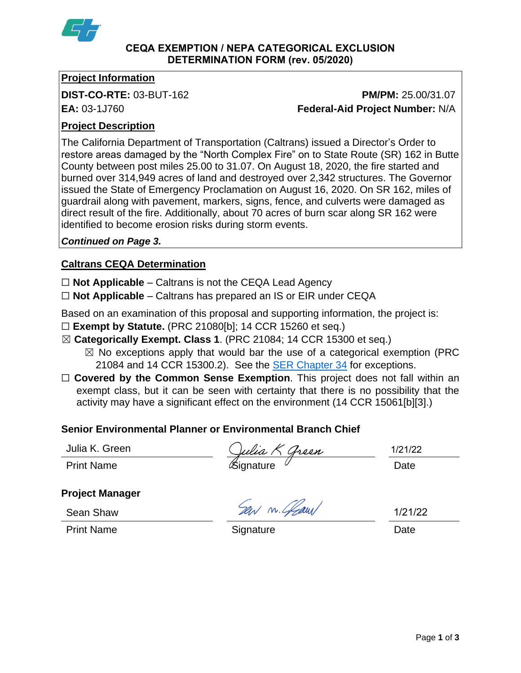

#### **CEQA EXEMPTION / NEPA CATEGORICAL EXCLUSION DETERMINATION FORM (rev. 05/2020)**

# **Project Information**

# **DIST-CO-RTE:** 03-BUT-162 **PM/PM:** 25.00/31.07 **EA:** 03-1J760 **Federal-Aid Project Number:** N/A

# **Project Description**

The California Department of Transportation (Caltrans) issued a Director's Order to restore areas damaged by the "North Complex Fire" on to State Route (SR) 162 in Butte County between post miles 25.00 to 31.07. On August 18, 2020, the fire started and burned over 314,949 acres of land and destroyed over 2,342 structures. The Governor issued the State of Emergency Proclamation on August 16, 2020. On SR 162, miles of guardrail along with pavement, markers, signs, fence, and culverts were damaged as direct result of the fire. Additionally, about 70 acres of burn scar along SR 162 were identified to become erosion risks during storm events.

## *Continued on Page 3.*

# **Caltrans CEQA Determination**

☐ **Not Applicable** – Caltrans is not the CEQA Lead Agency

☐ **Not Applicable** – Caltrans has prepared an IS or EIR under CEQA

Based on an examination of this proposal and supporting information, the project is:

- ☐ **Exempt by Statute.** (PRC 21080[b]; 14 CCR 15260 et seq.)
- ☒ **Categorically Exempt. Class 1**. (PRC 21084; 14 CCR 15300 et seq.)
	- $\boxtimes$  No exceptions apply that would bar the use of a categorical exemption (PRC 21084 and 14 CCR 15300.2). See the [SER Chapter 34](https://dot.ca.gov/programs/environmental-analysis/standard-environmental-reference-ser/volume-1-guidance-for-compliance/ch-34-exemptions-to-ceqa#except) for exceptions.
- □ **Covered by the Common Sense Exemption**. This project does not fall within an exempt class, but it can be seen with certainty that there is no possibility that the activity may have a significant effect on the environment (14 CCR 15061[b][3].)

# **Senior Environmental Planner or Environmental Branch Chief**

|  | Julia K. Green |
|--|----------------|
|  |                |

Print Name **Signature** Control Control Control Control Control Control Control Control Control Control Control Control Control Control Control Control Control Control Control Control Control Control Control Control Control

1/21/22

**Project Manager**

Sean Shaw

Print Name **Signature Date Date Date** 

Ser m. Glaus

1/21/22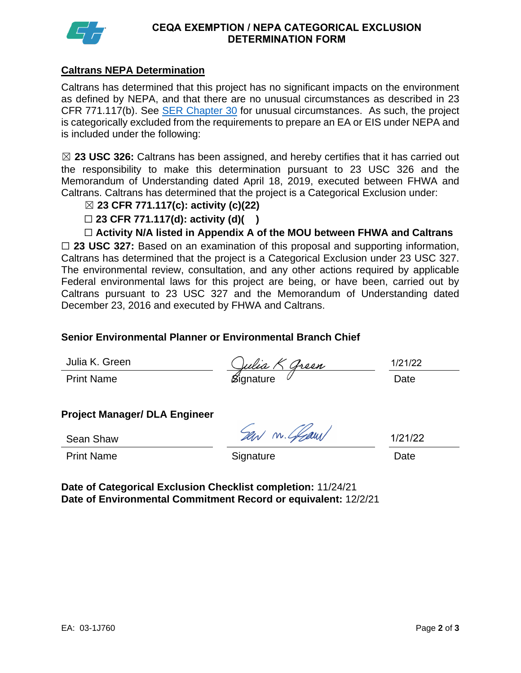

#### **CEQA EXEMPTION / NEPA CATEGORICAL EXCLUSION DETERMINATION FORM**

# **Caltrans NEPA Determination**

Caltrans has determined that this project has no significant impacts on the environment as defined by NEPA, and that there are no unusual circumstances as described in 23 CFR 771.117(b). See **SER Chapter 30** for unusual circumstances. As such, the project is categorically excluded from the requirements to prepare an EA or EIS under NEPA and is included under the following:

☒ **23 USC 326:** Caltrans has been assigned, and hereby certifies that it has carried out the responsibility to make this determination pursuant to 23 USC 326 and the Memorandum of Understanding dated April 18, 2019, executed between FHWA and Caltrans. Caltrans has determined that the project is a Categorical Exclusion under:

## ☒ **23 CFR 771.117(c): activity (c)(22)**

☐ **23 CFR 771.117(d): activity (d)( )**

☐ **Activity N/A listed in Appendix A of the MOU between FHWA and Caltrans**

□ 23 USC 327: Based on an examination of this proposal and supporting information, Caltrans has determined that the project is a Categorical Exclusion under 23 USC 327. The environmental review, consultation, and any other actions required by applicable Federal environmental laws for this project are being, or have been, carried out by Caltrans pursuant to 23 USC 327 and the Memorandum of Understanding dated December 23, 2016 and executed by FHWA and Caltrans.

#### **Senior Environmental Planner or Environmental Branch Chief**

Julia K. Green

Print Name **Solution Struck** Struck Contract Contract Contract Contract Contract Contract Contract Contract Contract Contract Contract Contract Contract Contract Contract Contract Contract Contract Contract Contract Contra

1/21/22

#### **Project Manager/ DLA Engineer**

Sean Shaw

Sew m. Glaw

1/21/22

Print Name **Signature Date Date Date Date** 

**Date of Categorical Exclusion Checklist completion:** 11/24/21 **Date of Environmental Commitment Record or equivalent:** 12/2/21